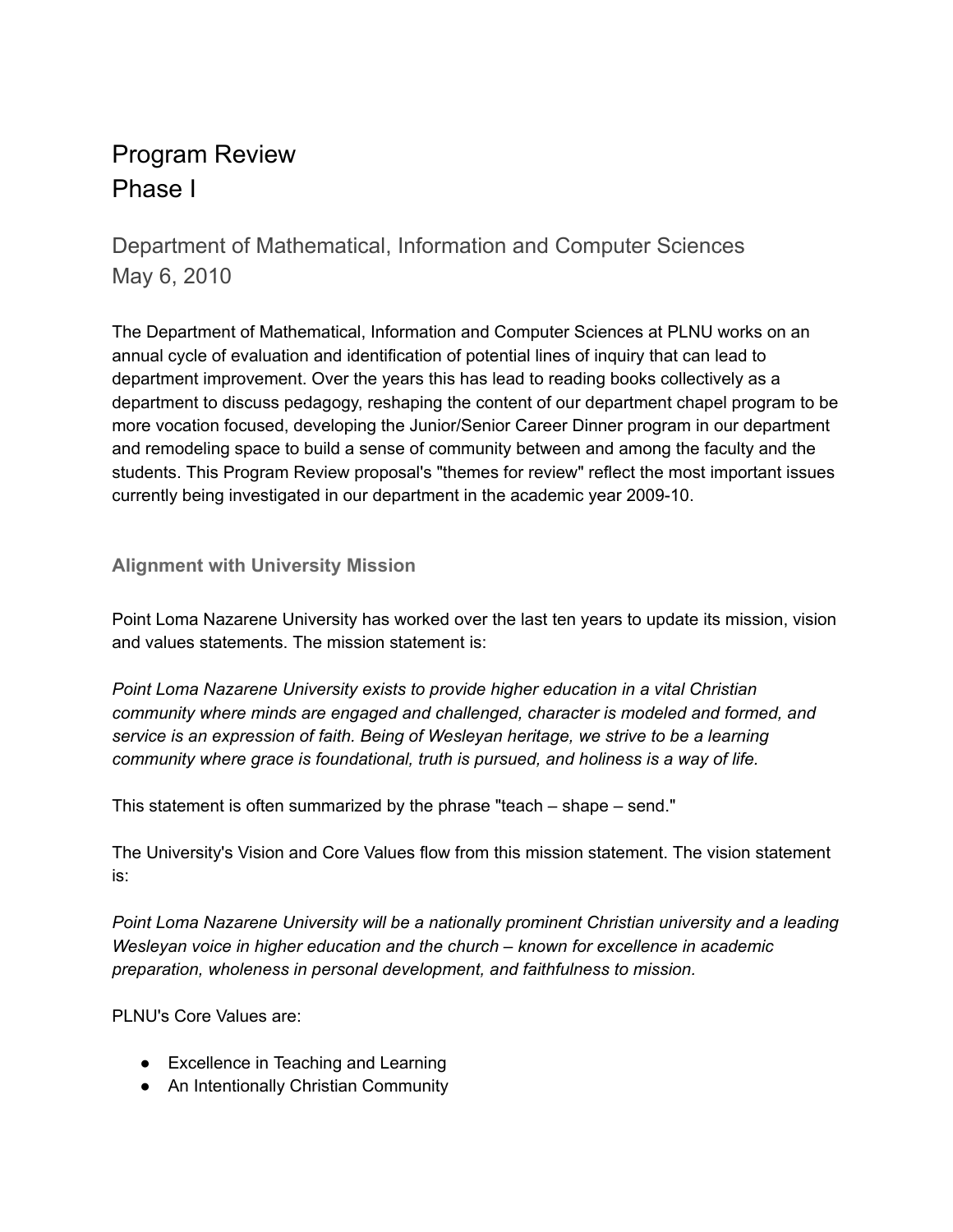# Program Review Phase I

Department of Mathematical, Information and Computer Sciences May 6, 2010

The Department of Mathematical, Information and Computer Sciences at PLNU works on an annual cycle of evaluation and identification of potential lines of inquiry that can lead to department improvement. Over the years this has lead to reading books collectively as a department to discuss pedagogy, reshaping the content of our department chapel program to be more vocation focused, developing the Junior/Senior Career Dinner program in our department and remodeling space to build a sense of community between and among the faculty and the students. This Program Review proposal's "themes for review" reflect the most important issues currently being investigated in our department in the academic year 2009-10.

## **Alignment with University Mission**

Point Loma Nazarene University has worked over the last ten years to update its mission, vision and values statements. The mission statement is:

*Point Loma Nazarene University exists to provide higher education in a vital Christian community where minds are engaged and challenged, character is modeled and formed, and service is an expression of faith. Being of Wesleyan heritage, we strive to be a learning community where grace is foundational, truth is pursued, and holiness is a way of life.*

This statement is often summarized by the phrase "teach – shape – send."

The University's Vision and Core Values flow from this mission statement. The vision statement is:

*Point Loma Nazarene University will be a nationally prominent Christian university and a leading Wesleyan voice in higher education and the church – known for excellence in academic preparation, wholeness in personal development, and faithfulness to mission.*

PLNU's Core Values are:

- Excellence in Teaching and Learning
- An Intentionally Christian Community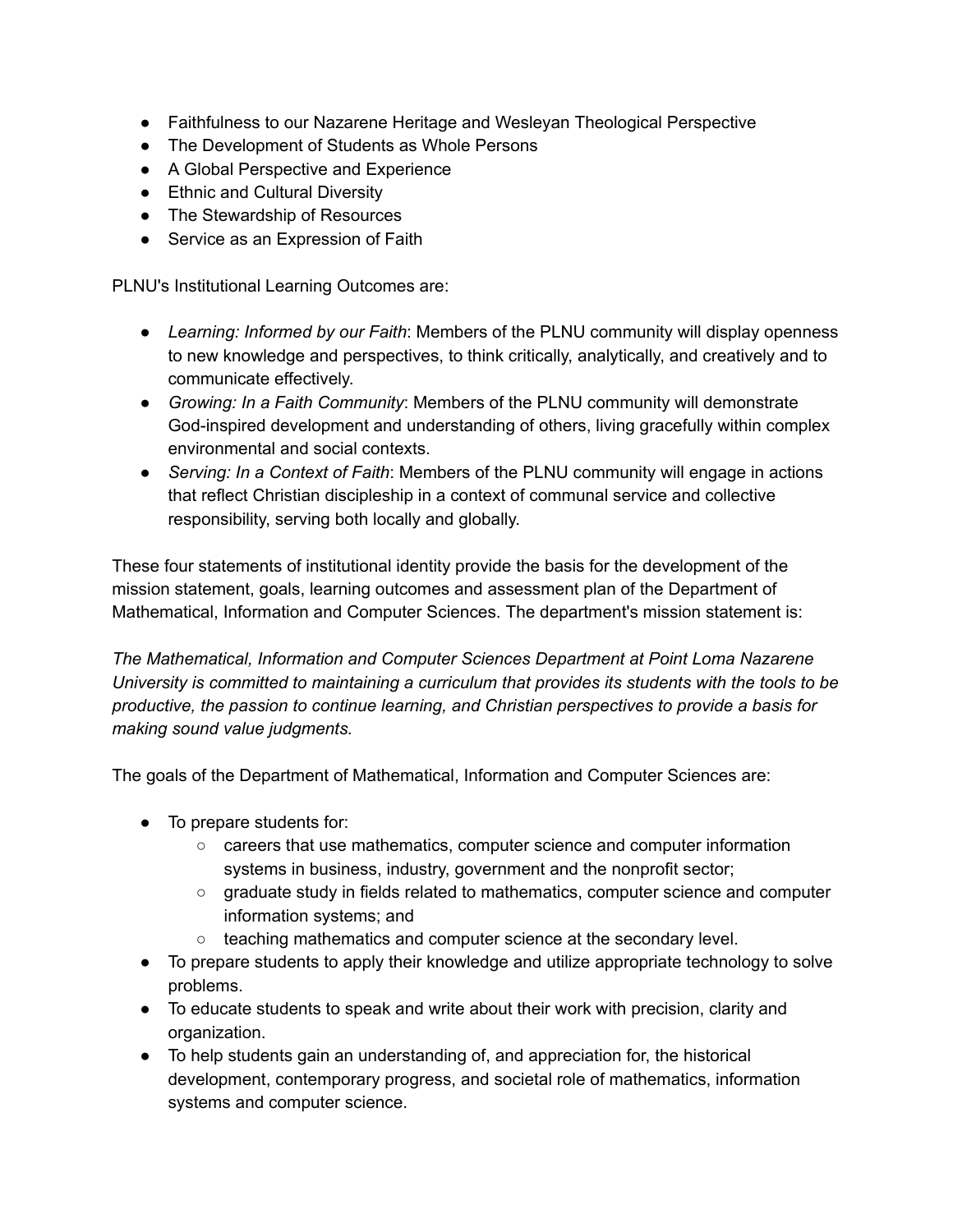- Faithfulness to our Nazarene Heritage and Wesleyan Theological Perspective
- The Development of Students as Whole Persons
- A Global Perspective and Experience
- Ethnic and Cultural Diversity
- The Stewardship of Resources
- Service as an Expression of Faith

PLNU's Institutional Learning Outcomes are:

- *Learning: Informed by our Faith*: Members of the PLNU community will display openness to new knowledge and perspectives, to think critically, analytically, and creatively and to communicate effectively.
- *Growing: In a Faith Community*: Members of the PLNU community will demonstrate God-inspired development and understanding of others, living gracefully within complex environmental and social contexts.
- *Serving: In a Context of Faith*: Members of the PLNU community will engage in actions that reflect Christian discipleship in a context of communal service and collective responsibility, serving both locally and globally.

These four statements of institutional identity provide the basis for the development of the mission statement, goals, learning outcomes and assessment plan of the Department of Mathematical, Information and Computer Sciences. The department's mission statement is:

*The Mathematical, Information and Computer Sciences Department at Point Loma Nazarene University is committed to maintaining a curriculum that provides its students with the tools to be productive, the passion to continue learning, and Christian perspectives to provide a basis for making sound value judgments.*

The goals of the Department of Mathematical, Information and Computer Sciences are:

- To prepare students for:
	- careers that use mathematics, computer science and computer information systems in business, industry, government and the nonprofit sector;
	- graduate study in fields related to mathematics, computer science and computer information systems; and
	- teaching mathematics and computer science at the secondary level.
- To prepare students to apply their knowledge and utilize appropriate technology to solve problems.
- To educate students to speak and write about their work with precision, clarity and organization.
- To help students gain an understanding of, and appreciation for, the historical development, contemporary progress, and societal role of mathematics, information systems and computer science.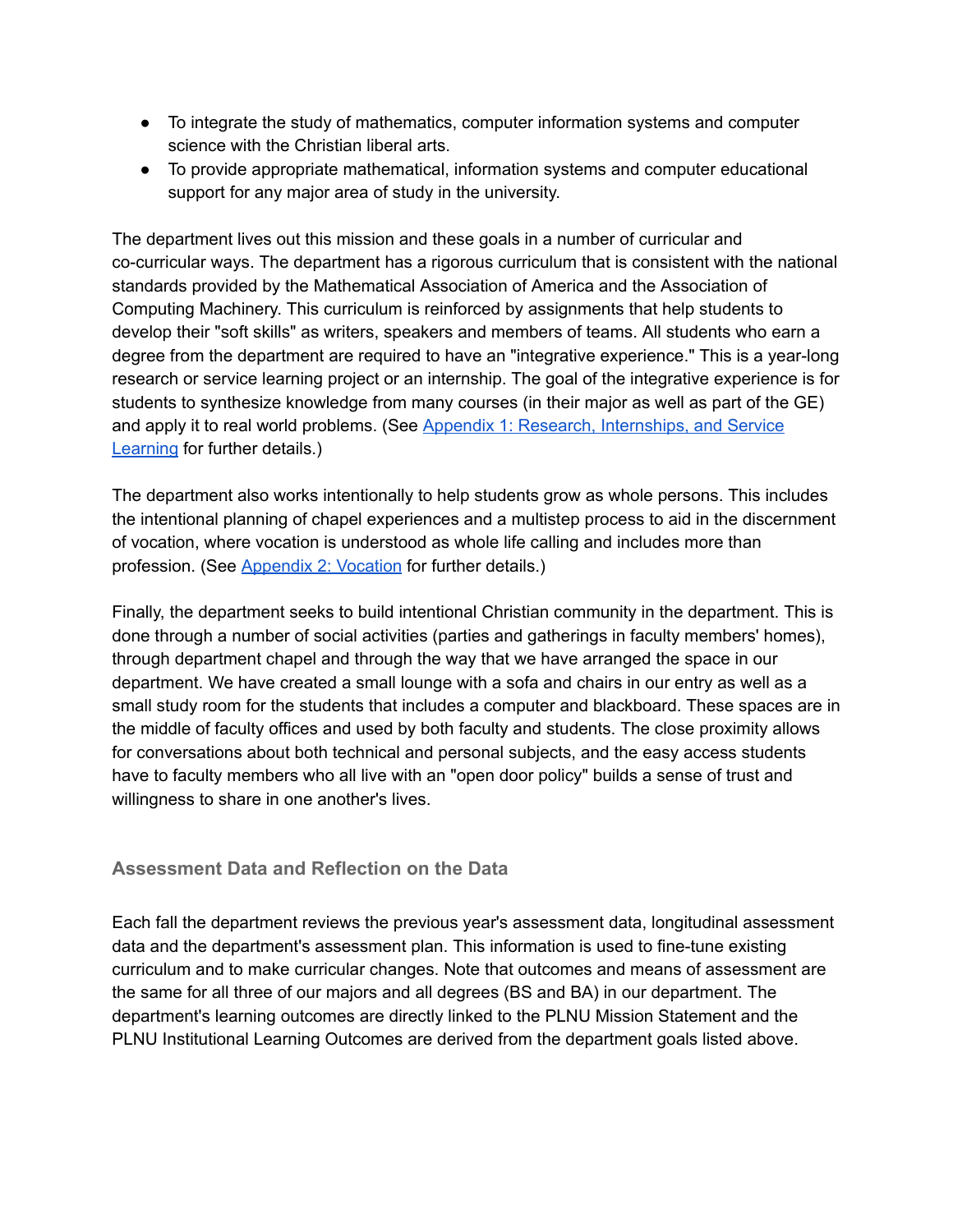- To integrate the study of mathematics, computer information systems and computer science with the Christian liberal arts.
- To provide appropriate mathematical, information systems and computer educational support for any major area of study in the university.

The department lives out this mission and these goals in a number of curricular and cocurricular ways. The department has a rigorous curriculum that is consistent with the national standards provided by the Mathematical Association of America and the Association of Computing Machinery. This curriculum is reinforced by assignments that help students to develop their "soft skills" as writers, speakers and members of teams. All students who earn a degree from the department are required to have an "integrative experience." This is a year-long research or service learning project or an internship. The goal of the integrative experience is for students to synthesize knowledge from many courses (in their major as well as part of the GE) and apply it to real world problems. (See Appendix 1: Research, [Internships,](https://drive.google.com/file/d/0Bxic57U2ySklNVNJdzZhSDBXODQ/view?usp=sharing) and Service [Learning](https://drive.google.com/file/d/0Bxic57U2ySklNVNJdzZhSDBXODQ/view?usp=sharing) for further details.)

The department also works intentionally to help students grow as whole persons. This includes the intentional planning of chapel experiences and a multistep process to aid in the discernment of vocation, where vocation is understood as whole life calling and includes more than profession. (See [Appendix](https://drive.google.com/open?id=0Bxic57U2ySklUDZuRWxSRGZ2RFU) 2: Vocation for further details.)

Finally, the department seeks to build intentional Christian community in the department. This is done through a number of social activities (parties and gatherings in faculty members' homes), through department chapel and through the way that we have arranged the space in our department. We have created a small lounge with a sofa and chairs in our entry as well as a small study room for the students that includes a computer and blackboard. These spaces are in the middle of faculty offices and used by both faculty and students. The close proximity allows for conversations about both technical and personal subjects, and the easy access students have to faculty members who all live with an "open door policy" builds a sense of trust and willingness to share in one another's lives.

#### **Assessment Data and Reflection on the Data**

Each fall the department reviews the previous year's assessment data, longitudinal assessment data and the department's assessment plan. This information is used to fine-tune existing curriculum and to make curricular changes. Note that outcomes and means of assessment are the same for all three of our majors and all degrees (BS and BA) in our department. The department's learning outcomes are directly linked to the PLNU Mission Statement and the PLNU Institutional Learning Outcomes are derived from the department goals listed above.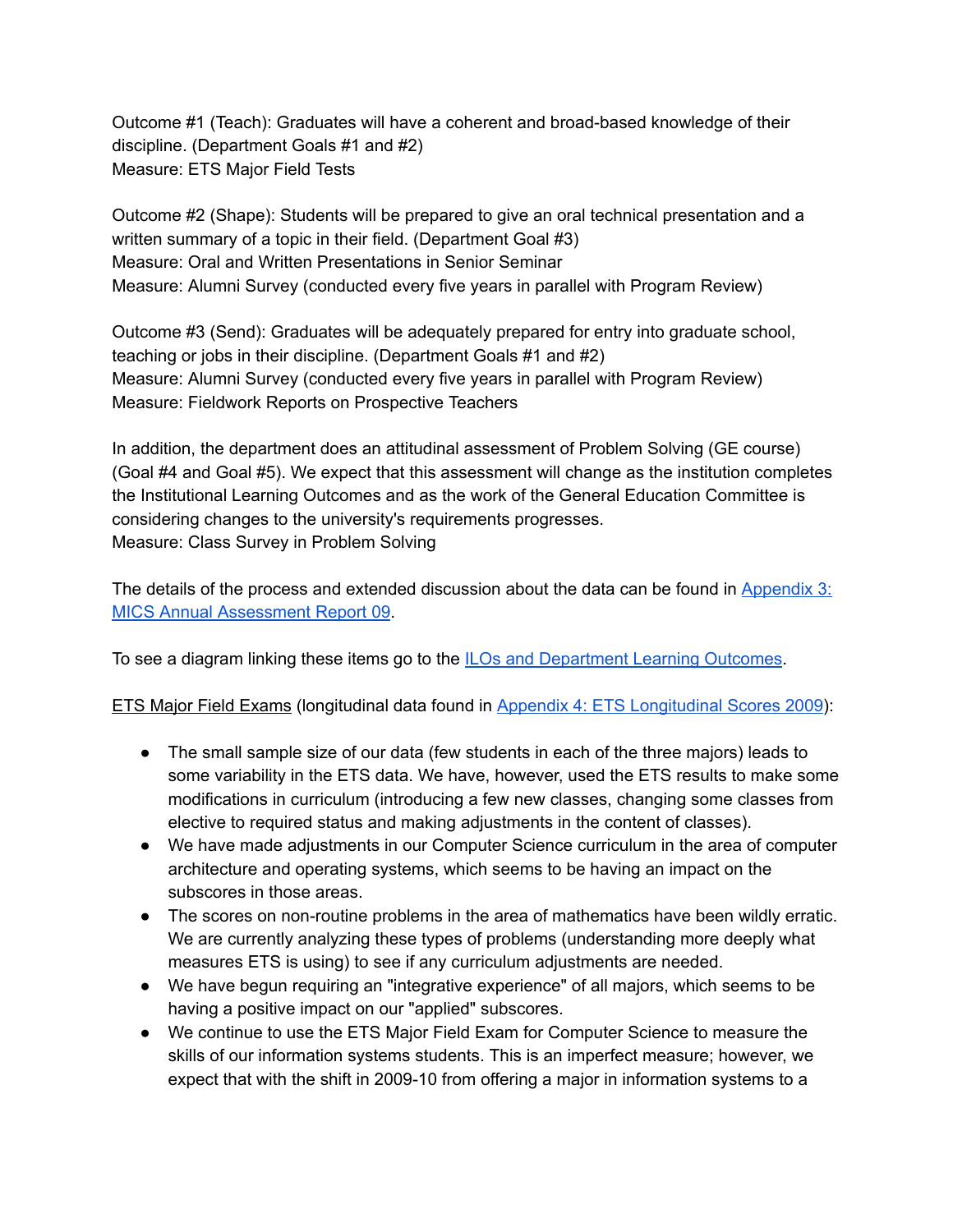Outcome #1 (Teach): Graduates will have a coherent and broad-based knowledge of their discipline. (Department Goals #1 and #2) Measure: ETS Major Field Tests

Outcome #2 (Shape): Students will be prepared to give an oral technical presentation and a written summary of a topic in their field. (Department Goal #3) Measure: Oral and Written Presentations in Senior Seminar Measure: Alumni Survey (conducted every five years in parallel with Program Review)

Outcome #3 (Send): Graduates will be adequately prepared for entry into graduate school, teaching or jobs in their discipline. (Department Goals #1 and #2) Measure: Alumni Survey (conducted every five years in parallel with Program Review) Measure: Fieldwork Reports on Prospective Teachers

In addition, the department does an attitudinal assessment of Problem Solving (GE course) (Goal #4 and Goal #5). We expect that this assessment will change as the institution completes the Institutional Learning Outcomes and as the work of the General Education Committee is considering changes to the university's requirements progresses. Measure: Class Survey in Problem Solving

The details of the process and extended discussion about the data can be found in [Appendix](https://drive.google.com/file/d/0Bxic57U2ySklS0pWZHM0Q3hGT0E/view?usp=sharing) 3: MICS Annual [Assessment](https://drive.google.com/file/d/0Bxic57U2ySklS0pWZHM0Q3hGT0E/view?usp=sharing) Report 09.

To see a diagram linking these items go to the **ILOs and [Department](https://drive.google.com/file/d/0Bxic57U2ySklZ00zdTdFTGFpdUU/view?usp=sharing) Learning Outcomes**.

ETS Major Field Exams (longitudinal data found in Appendix 4: ETS [Longitudinal](https://drive.google.com/file/d/0Bxic57U2ySkleHFsTUI1RXpBLVE/view?usp=sharing) Scores 2009):

- The small sample size of our data (few students in each of the three majors) leads to some variability in the ETS data. We have, however, used the ETS results to make some modifications in curriculum (introducing a few new classes, changing some classes from elective to required status and making adjustments in the content of classes).
- We have made adjustments in our Computer Science curriculum in the area of computer architecture and operating systems, which seems to be having an impact on the subscores in those areas.
- The scores on non-routine problems in the area of mathematics have been wildly erratic. We are currently analyzing these types of problems (understanding more deeply what measures ETS is using) to see if any curriculum adjustments are needed.
- We have begun requiring an "integrative experience" of all majors, which seems to be having a positive impact on our "applied" subscores.
- We continue to use the ETS Major Field Exam for Computer Science to measure the skills of our information systems students. This is an imperfect measure; however, we expect that with the shift in 2009-10 from offering a major in information systems to a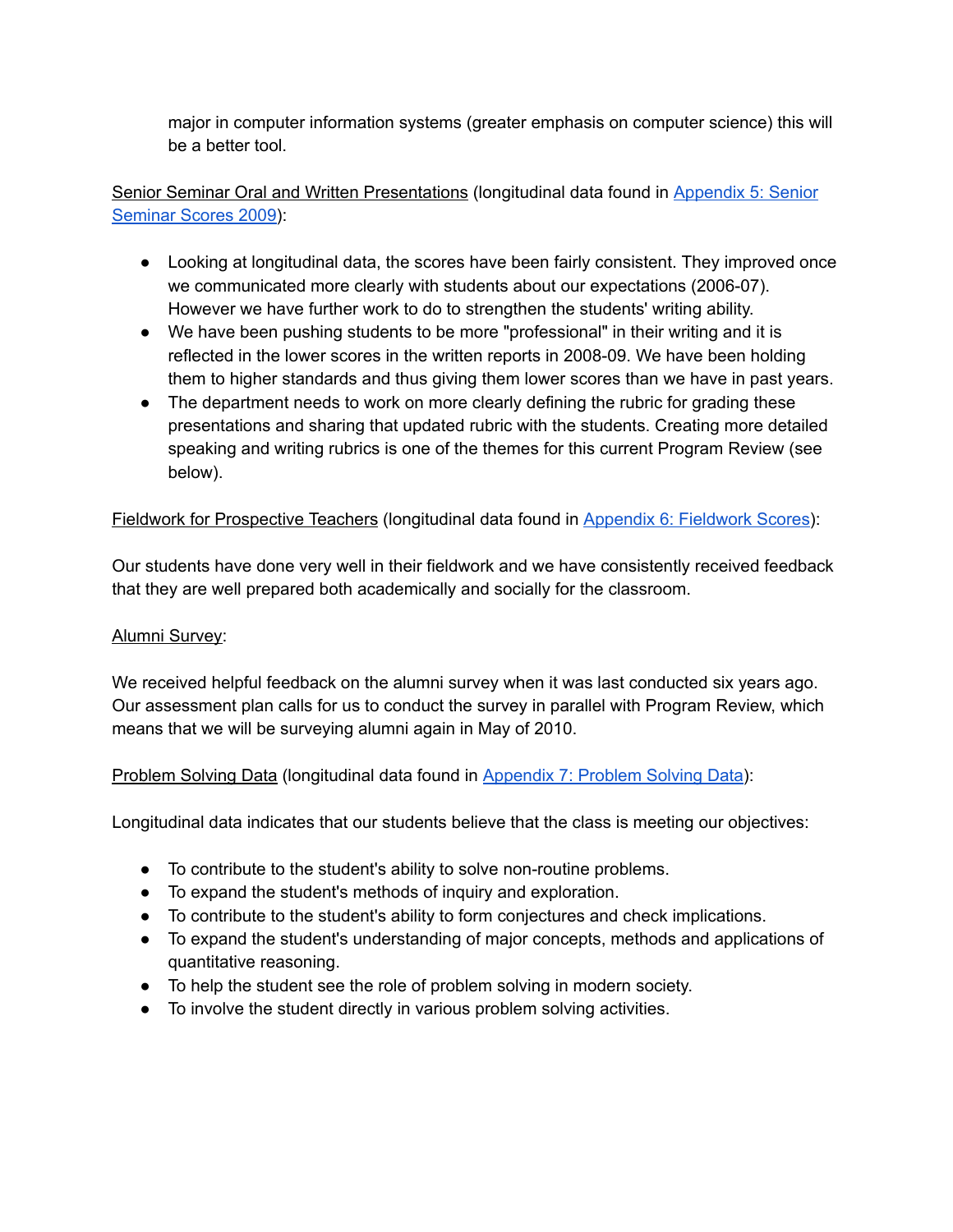major in computer information systems (greater emphasis on computer science) this will be a better tool.

Senior Seminar Oral and Written Presentations (longitudinal data found in [Appendix](https://drive.google.com/file/d/0Bxic57U2ySklWTlSdlNCWGFwTmc/view?usp=sharing) 5: Senior [Seminar](https://drive.google.com/file/d/0Bxic57U2ySklWTlSdlNCWGFwTmc/view?usp=sharing) Scores 2009):

- Looking at longitudinal data, the scores have been fairly consistent. They improved once we communicated more clearly with students about our expectations (2006-07). However we have further work to do to strengthen the students' writing ability.
- We have been pushing students to be more "professional" in their writing and it is reflected in the lower scores in the written reports in 2008-09. We have been holding them to higher standards and thus giving them lower scores than we have in past years.
- The department needs to work on more clearly defining the rubric for grading these presentations and sharing that updated rubric with the students. Creating more detailed speaking and writing rubrics is one of the themes for this current Program Review (see below).

## [Fieldwork](https://drive.google.com/file/d/0Bxic57U2ySklRmVwQW12S0tmaDQ/view?usp=sharing) for Prospective Teachers (longitudinal data found in Appendix 6: Fieldwork Scores):

Our students have done very well in their fieldwork and we have consistently received feedback that they are well prepared both academically and socially for the classroom.

#### Alumni Survey:

We received helpful feedback on the alumni survey when it was last conducted six years ago. Our assessment plan calls for us to conduct the survey in parallel with Program Review, which means that we will be surveying alumni again in May of 2010.

#### Problem Solving Data (longitudinal data found in [Appendix](https://drive.google.com/file/d/0Bxic57U2ySklTzc3N3QxTFBYZkE/view?usp=sharing) 7: Problem Solving Data):

Longitudinal data indicates that our students believe that the class is meeting our objectives:

- To contribute to the student's ability to solve non-routine problems.
- To expand the student's methods of inquiry and exploration.
- To contribute to the student's ability to form conjectures and check implications.
- To expand the student's understanding of major concepts, methods and applications of quantitative reasoning.
- To help the student see the role of problem solving in modern society.
- To involve the student directly in various problem solving activities.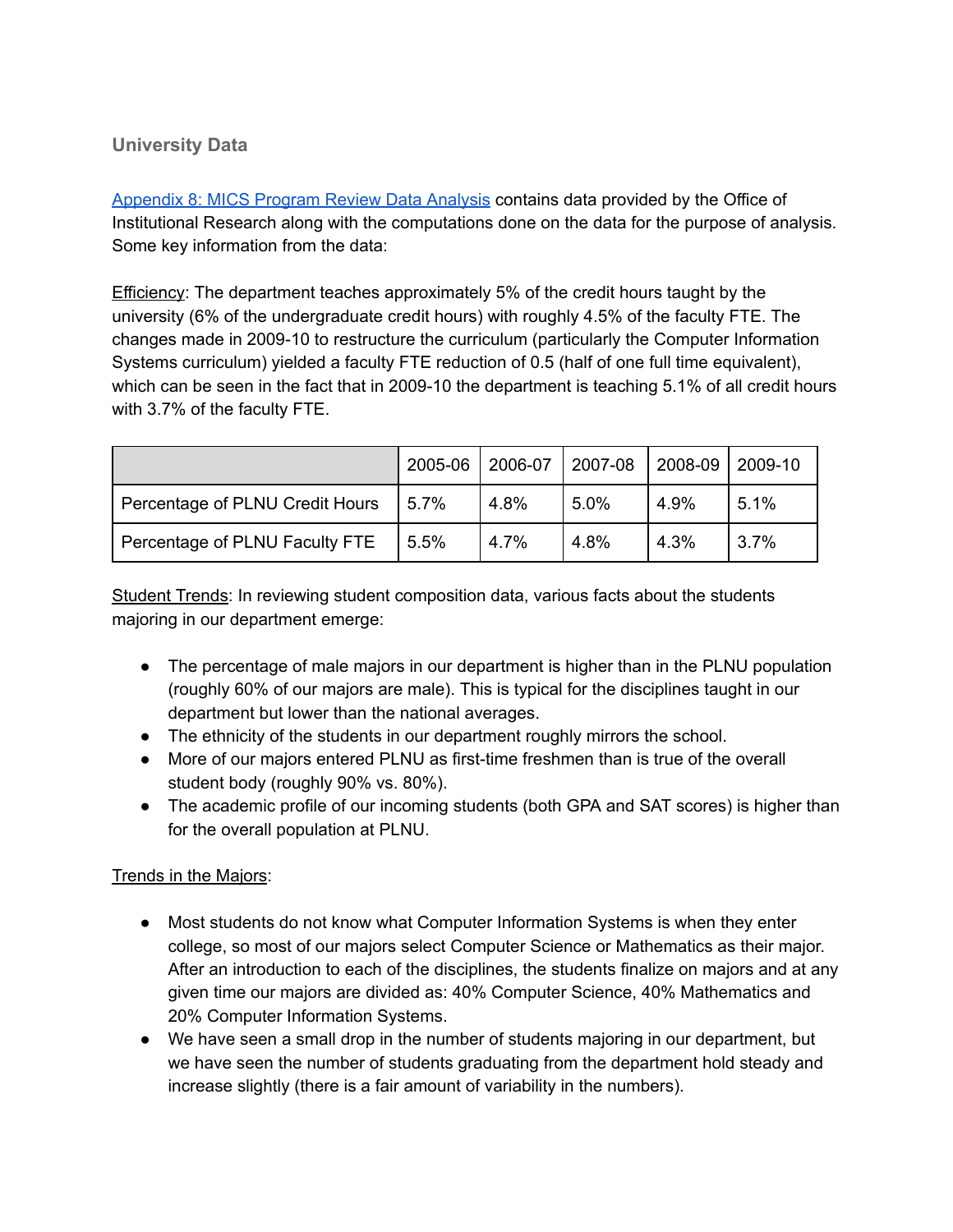# **University Data**

[Appendix](https://drive.google.com/file/d/0Bxic57U2ySklMHhEa3BCSkEwSUk/view?usp=sharing) 8: MICS Program Review Data Analysis contains data provided by the Office of Institutional Research along with the computations done on the data for the purpose of analysis. Some key information from the data:

Efficiency: The department teaches approximately 5% of the credit hours taught by the university (6% of the undergraduate credit hours) with roughly 4.5% of the faculty FTE. The changes made in 2009-10 to restructure the curriculum (particularly the Computer Information Systems curriculum) yielded a faculty FTE reduction of 0.5 (half of one full time equivalent), which can be seen in the fact that in 2009-10 the department is teaching 5.1% of all credit hours with 3.7% of the faculty FTE.

|                                 | 2005-06 | 2006-07 | 2007-08 | 2008-09 | 2009-10 |
|---------------------------------|---------|---------|---------|---------|---------|
| Percentage of PLNU Credit Hours | 5.7%    | 4.8%    | 5.0%    | 4.9%    | 5.1%    |
| Percentage of PLNU Faculty FTE  | 5.5%    | 4.7%    | 4.8%    | 4.3%    | 3.7%    |

Student Trends: In reviewing student composition data, various facts about the students majoring in our department emerge:

- The percentage of male majors in our department is higher than in the PLNU population (roughly 60% of our majors are male). This is typical for the disciplines taught in our department but lower than the national averages.
- The ethnicity of the students in our department roughly mirrors the school.
- More of our majors entered PLNU as first-time freshmen than is true of the overall student body (roughly 90% vs. 80%).
- The academic profile of our incoming students (both GPA and SAT scores) is higher than for the overall population at PLNU.

#### Trends in the Majors:

- Most students do not know what Computer Information Systems is when they enter college, so most of our majors select Computer Science or Mathematics as their major. After an introduction to each of the disciplines, the students finalize on majors and at any given time our majors are divided as: 40% Computer Science, 40% Mathematics and 20% Computer Information Systems.
- We have seen a small drop in the number of students majoring in our department, but we have seen the number of students graduating from the department hold steady and increase slightly (there is a fair amount of variability in the numbers).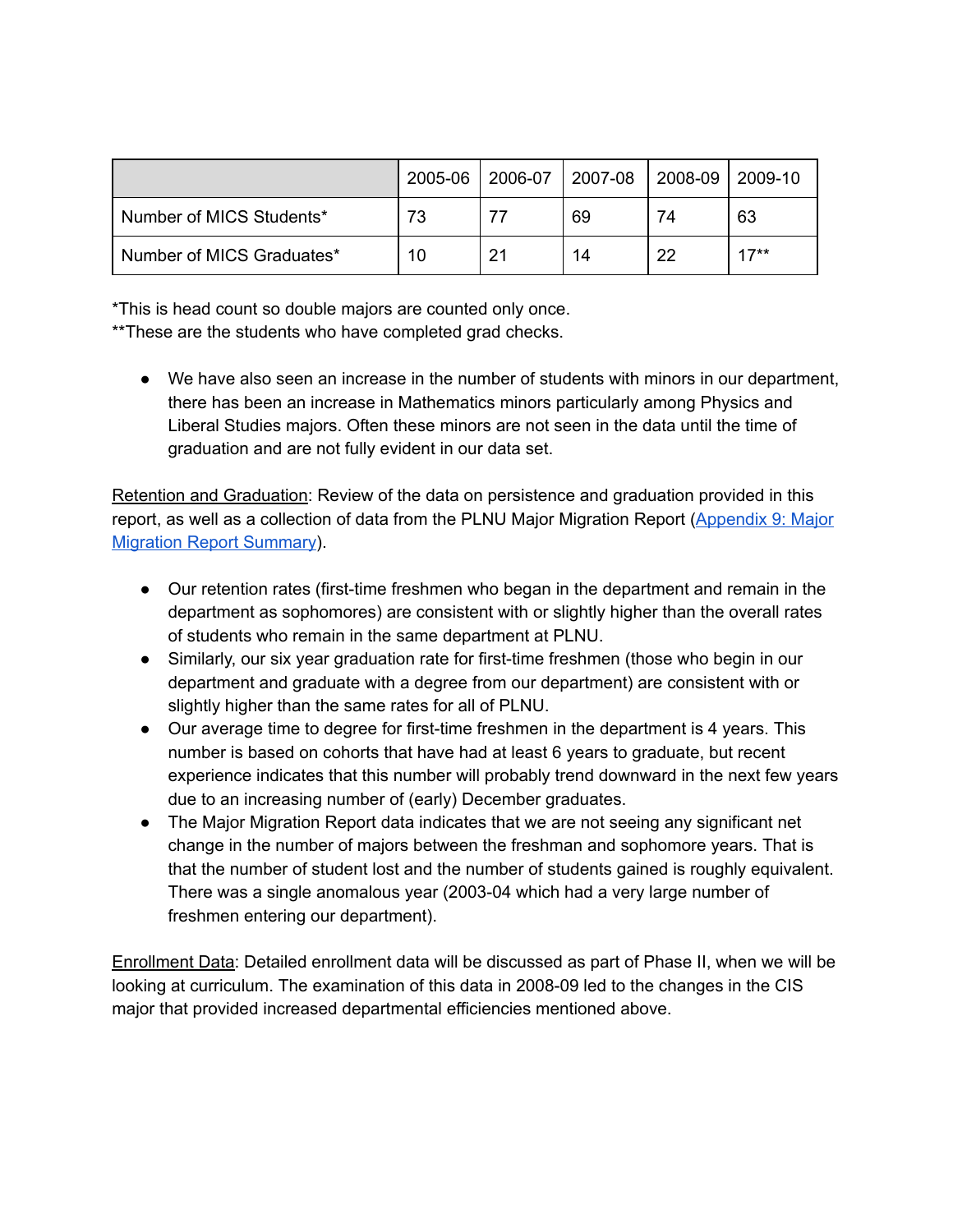|                           | 2005-06 | 2006-07 | $ 2007-08$ | $ 2008-09 2009-10$ |        |
|---------------------------|---------|---------|------------|--------------------|--------|
| Number of MICS Students*  | 73      |         | 69         | 74                 | 63     |
| Number of MICS Graduates* | 10      | 21      | 14         | 22                 | $17**$ |

\*This is head count so double majors are counted only once.

\*\*These are the students who have completed grad checks.

● We have also seen an increase in the number of students with minors in our department, there has been an increase in Mathematics minors particularly among Physics and Liberal Studies majors. Often these minors are not seen in the data until the time of graduation and are not fully evident in our data set.

Retention and Graduation: Review of the data on persistence and graduation provided in this report, as well as a collection of data from the PLNU Major Migration Report [\(Appendix](https://drive.google.com/file/d/0Bxic57U2ySklNlYtS3gyWFVuTUE/view?usp=sharing) 9: Major Migration Report [Summary](https://drive.google.com/file/d/0Bxic57U2ySklNlYtS3gyWFVuTUE/view?usp=sharing)).

- Our retention rates (first-time freshmen who began in the department and remain in the department as sophomores) are consistent with or slightly higher than the overall rates of students who remain in the same department at PLNU.
- Similarly, our six year graduation rate for first-time freshmen (those who begin in our department and graduate with a degree from our department) are consistent with or slightly higher than the same rates for all of PLNU.
- Our average time to degree for first-time freshmen in the department is 4 years. This number is based on cohorts that have had at least 6 years to graduate, but recent experience indicates that this number will probably trend downward in the next few years due to an increasing number of (early) December graduates.
- The Major Migration Report data indicates that we are not seeing any significant net change in the number of majors between the freshman and sophomore years. That is that the number of student lost and the number of students gained is roughly equivalent. There was a single anomalous year (2003-04 which had a very large number of freshmen entering our department).

Enrollment Data: Detailed enrollment data will be discussed as part of Phase II, when we will be looking at curriculum. The examination of this data in 2008-09 led to the changes in the CIS major that provided increased departmental efficiencies mentioned above.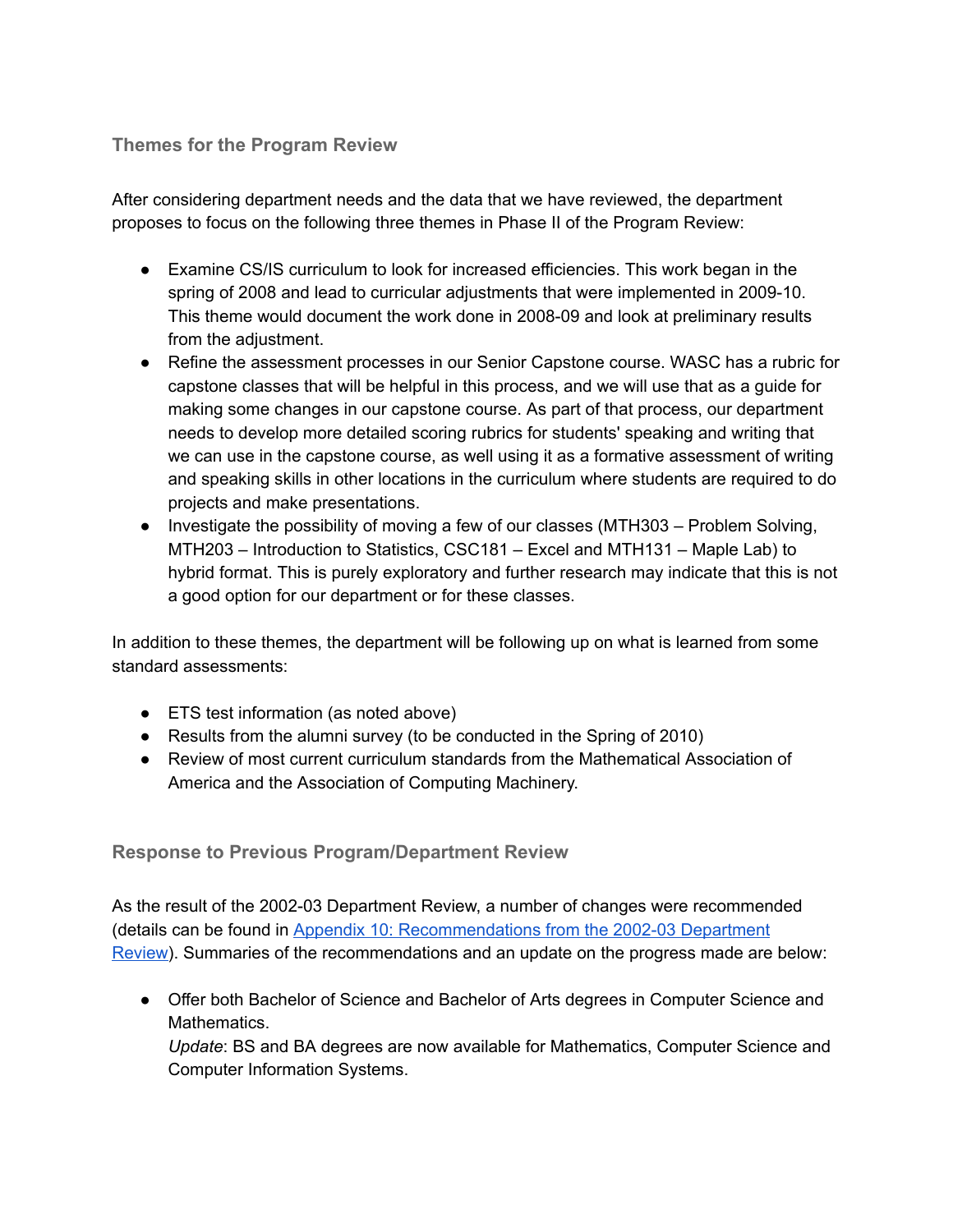## **Themes for the Program Review**

After considering department needs and the data that we have reviewed, the department proposes to focus on the following three themes in Phase II of the Program Review:

- Examine CS/IS curriculum to look for increased efficiencies. This work began in the spring of 2008 and lead to curricular adjustments that were implemented in 2009-10. This theme would document the work done in 2008-09 and look at preliminary results from the adjustment.
- Refine the assessment processes in our Senior Capstone course. WASC has a rubric for capstone classes that will be helpful in this process, and we will use that as a guide for making some changes in our capstone course. As part of that process, our department needs to develop more detailed scoring rubrics for students' speaking and writing that we can use in the capstone course, as well using it as a formative assessment of writing and speaking skills in other locations in the curriculum where students are required to do projects and make presentations.
- Investigate the possibility of moving a few of our classes (MTH303 Problem Solving, MTH203 – Introduction to Statistics, CSC181 – Excel and MTH131 – Maple Lab) to hybrid format. This is purely exploratory and further research may indicate that this is not a good option for our department or for these classes.

In addition to these themes, the department will be following up on what is learned from some standard assessments:

- ETS test information (as noted above)
- Results from the alumni survey (to be conducted in the Spring of 2010)
- Review of most current curriculum standards from the Mathematical Association of America and the Association of Computing Machinery.

# **Response to Previous Program/Department Review**

As the result of the 2002-03 Department Review, a number of changes were recommended (details can be found in Appendix 10: [Recommendations](https://drive.google.com/file/d/0Bxic57U2ySklakVMZmZQNlR1SW8/view?usp=sharing) from the 2002-03 Department [Review](https://drive.google.com/file/d/0Bxic57U2ySklakVMZmZQNlR1SW8/view?usp=sharing)). Summaries of the recommendations and an update on the progress made are below:

● Offer both Bachelor of Science and Bachelor of Arts degrees in Computer Science and Mathematics. *Update*: BS and BA degrees are now available for Mathematics, Computer Science and Computer Information Systems.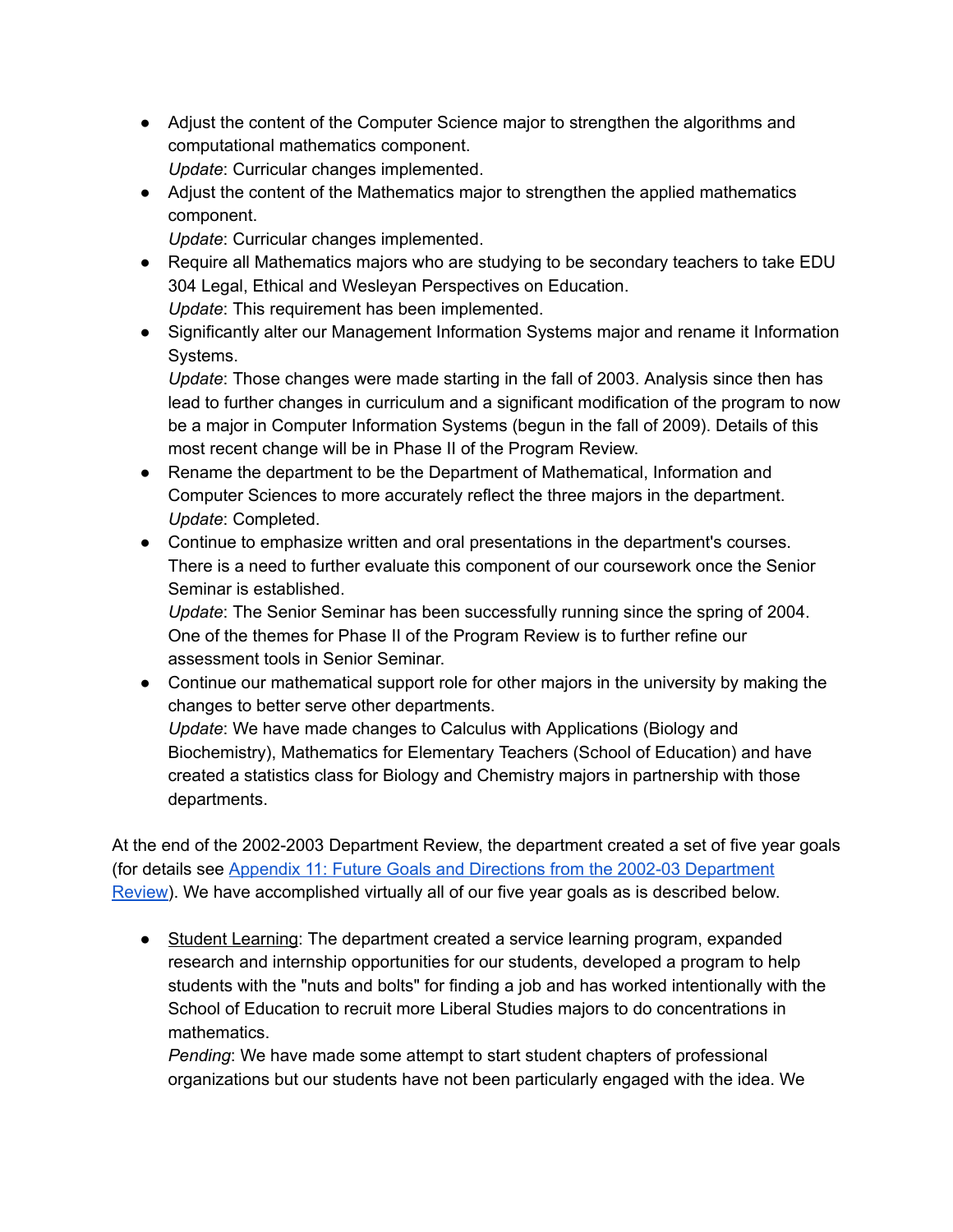- Adjust the content of the Computer Science major to strengthen the algorithms and computational mathematics component. *Update*: Curricular changes implemented.
- Adjust the content of the Mathematics major to strengthen the applied mathematics component.

*Update*: Curricular changes implemented.

- Require all Mathematics majors who are studying to be secondary teachers to take EDU 304 Legal, Ethical and Wesleyan Perspectives on Education. *Update*: This requirement has been implemented.
- Significantly alter our Management Information Systems major and rename it Information Systems.

*Update*: Those changes were made starting in the fall of 2003. Analysis since then has lead to further changes in curriculum and a significant modification of the program to now be a major in Computer Information Systems (begun in the fall of 2009). Details of this most recent change will be in Phase II of the Program Review.

- Rename the department to be the Department of Mathematical, Information and Computer Sciences to more accurately reflect the three majors in the department. *Update*: Completed.
- Continue to emphasize written and oral presentations in the department's courses. There is a need to further evaluate this component of our coursework once the Senior Seminar is established.

*Update*: The Senior Seminar has been successfully running since the spring of 2004. One of the themes for Phase II of the Program Review is to further refine our assessment tools in Senior Seminar.

• Continue our mathematical support role for other majors in the university by making the changes to better serve other departments.

*Update*: We have made changes to Calculus with Applications (Biology and Biochemistry), Mathematics for Elementary Teachers (School of Education) and have created a statistics class for Biology and Chemistry majors in partnership with those departments.

At the end of the 2002-2003 Department Review, the department created a set of five year goals (for details see Appendix 11: Future Goals and Directions from the 2002-03 [Department](https://drive.google.com/file/d/0Bxic57U2ySklVXlRMHF4Q1ZjWVU/view?usp=sharing) [Review](https://drive.google.com/file/d/0Bxic57U2ySklVXlRMHF4Q1ZjWVU/view?usp=sharing)). We have accomplished virtually all of our five year goals as is described below.

● Student Learning: The department created a service learning program, expanded research and internship opportunities for our students, developed a program to help students with the "nuts and bolts" for finding a job and has worked intentionally with the School of Education to recruit more Liberal Studies majors to do concentrations in mathematics.

*Pending*: We have made some attempt to start student chapters of professional organizations but our students have not been particularly engaged with the idea. We